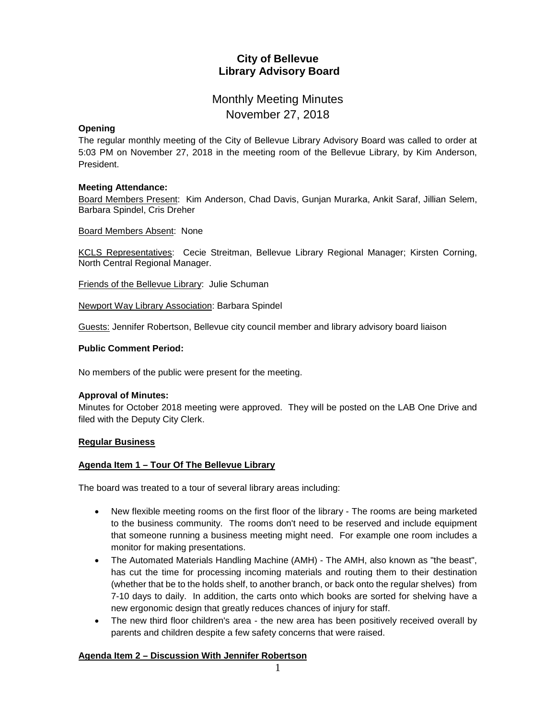## **City of Bellevue Library Advisory Board**

# Monthly Meeting Minutes November 27, 2018

## **Opening**

The regular monthly meeting of the City of Bellevue Library Advisory Board was called to order at 5:03 PM on November 27, 2018 in the meeting room of the Bellevue Library, by Kim Anderson, President.

## **Meeting Attendance:**

Board Members Present: Kim Anderson, Chad Davis, Gunjan Murarka, Ankit Saraf, Jillian Selem, Barbara Spindel, Cris Dreher

Board Members Absent: None

KCLS Representatives: Cecie Streitman, Bellevue Library Regional Manager; Kirsten Corning, North Central Regional Manager.

Friends of the Bellevue Library: Julie Schuman

Newport Way Library Association: Barbara Spindel

Guests: Jennifer Robertson, Bellevue city council member and library advisory board liaison

## **Public Comment Period:**

No members of the public were present for the meeting.

## **Approval of Minutes:**

Minutes for October 2018 meeting were approved. They will be posted on the LAB One Drive and filed with the Deputy City Clerk.

## **Regular Business**

## **Agenda Item 1 – Tour Of The Bellevue Library**

The board was treated to a tour of several library areas including:

- New flexible meeting rooms on the first floor of the library The rooms are being marketed to the business community. The rooms don't need to be reserved and include equipment that someone running a business meeting might need. For example one room includes a monitor for making presentations.
- The Automated Materials Handling Machine (AMH) The AMH, also known as "the beast", has cut the time for processing incoming materials and routing them to their destination (whether that be to the holds shelf, to another branch, or back onto the regular shelves) from 7-10 days to daily. In addition, the carts onto which books are sorted for shelving have a new ergonomic design that greatly reduces chances of injury for staff.
- The new third floor children's area the new area has been positively received overall by parents and children despite a few safety concerns that were raised.

## **Agenda Item 2 – Discussion With Jennifer Robertson**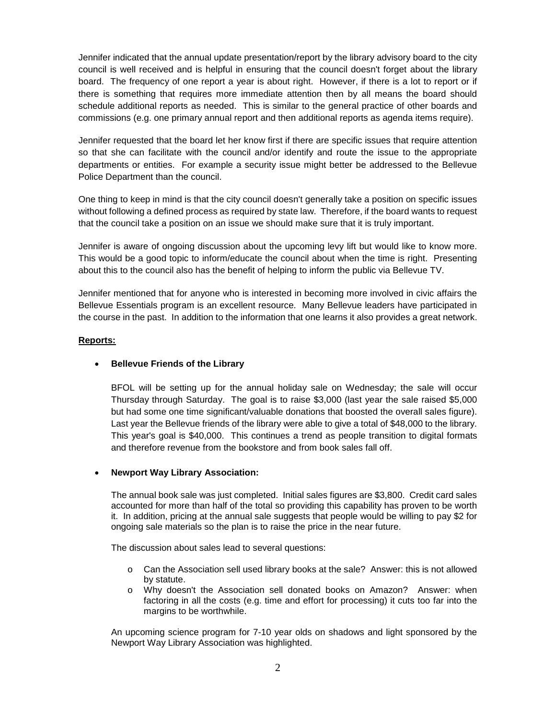Jennifer indicated that the annual update presentation/report by the library advisory board to the city council is well received and is helpful in ensuring that the council doesn't forget about the library board. The frequency of one report a year is about right. However, if there is a lot to report or if there is something that requires more immediate attention then by all means the board should schedule additional reports as needed. This is similar to the general practice of other boards and commissions (e.g. one primary annual report and then additional reports as agenda items require).

Jennifer requested that the board let her know first if there are specific issues that require attention so that she can facilitate with the council and/or identify and route the issue to the appropriate departments or entities. For example a security issue might better be addressed to the Bellevue Police Department than the council.

One thing to keep in mind is that the city council doesn't generally take a position on specific issues without following a defined process as required by state law. Therefore, if the board wants to request that the council take a position on an issue we should make sure that it is truly important.

Jennifer is aware of ongoing discussion about the upcoming levy lift but would like to know more. This would be a good topic to inform/educate the council about when the time is right. Presenting about this to the council also has the benefit of helping to inform the public via Bellevue TV.

Jennifer mentioned that for anyone who is interested in becoming more involved in civic affairs the Bellevue Essentials program is an excellent resource. Many Bellevue leaders have participated in the course in the past. In addition to the information that one learns it also provides a great network.

## **Reports:**

## **Bellevue Friends of the Library**

BFOL will be setting up for the annual holiday sale on Wednesday; the sale will occur Thursday through Saturday. The goal is to raise \$3,000 (last year the sale raised \$5,000 but had some one time significant/valuable donations that boosted the overall sales figure). Last year the Bellevue friends of the library were able to give a total of \$48,000 to the library. This year's goal is \$40,000. This continues a trend as people transition to digital formats and therefore revenue from the bookstore and from book sales fall off.

## **Newport Way Library Association:**

The annual book sale was just completed. Initial sales figures are \$3,800. Credit card sales accounted for more than half of the total so providing this capability has proven to be worth it. In addition, pricing at the annual sale suggests that people would be willing to pay \$2 for ongoing sale materials so the plan is to raise the price in the near future.

The discussion about sales lead to several questions:

- o Can the Association sell used library books at the sale? Answer: this is not allowed by statute.
- o Why doesn't the Association sell donated books on Amazon? Answer: when factoring in all the costs (e.g. time and effort for processing) it cuts too far into the margins to be worthwhile.

An upcoming science program for 7-10 year olds on shadows and light sponsored by the Newport Way Library Association was highlighted.